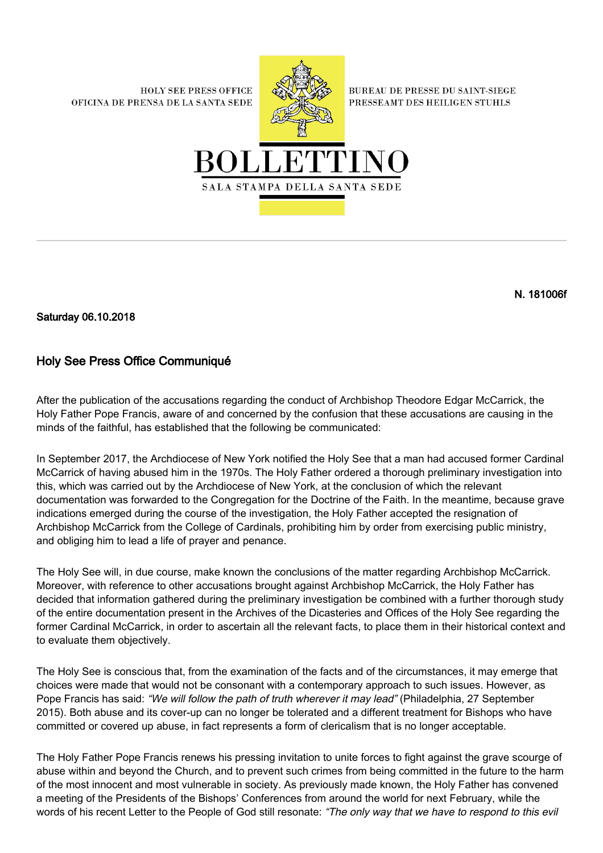**HOLY SEE PRESS OFFICE** OFICINA DE PRENSA DE LA SANTA SEDE



**BUREAU DE PRESSE DU SAINT-SIEGE** PRESSEAMT DES HEILIGEN STUHLS



N. 181006f

Saturday 06.10.2018

## Holy See Press Office Communiqué

After the publication of the accusations regarding the conduct of Archbishop Theodore Edgar McCarrick, the Holy Father Pope Francis, aware of and concerned by the confusion that these accusations are causing in the minds of the faithful, has established that the following be communicated:

In September 2017, the Archdiocese of New York notified the Holy See that a man had accused former Cardinal McCarrick of having abused him in the 1970s. The Holy Father ordered a thorough preliminary investigation into this, which was carried out by the Archdiocese of New York, at the conclusion of which the relevant documentation was forwarded to the Congregation for the Doctrine of the Faith. In the meantime, because grave indications emerged during the course of the investigation, the Holy Father accepted the resignation of Archbishop McCarrick from the College of Cardinals, prohibiting him by order from exercising public ministry, and obliging him to lead a life of prayer and penance.

The Holy See will, in due course, make known the conclusions of the matter regarding Archbishop McCarrick. Moreover, with reference to other accusations brought against Archbishop McCarrick, the Holy Father has decided that information gathered during the preliminary investigation be combined with a further thorough study of the entire documentation present in the Archives of the Dicasteries and Offices of the Holy See regarding the former Cardinal McCarrick, in order to ascertain all the relevant facts, to place them in their historical context and to evaluate them objectively.

The Holy See is conscious that, from the examination of the facts and of the circumstances, it may emerge that choices were made that would not be consonant with a contemporary approach to such issues. However, as Pope Francis has said: "We will follow the path of truth wherever it may lead" (Philadelphia, 27 September 2015). Both abuse and its cover-up can no longer be tolerated and a different treatment for Bishops who have committed or covered up abuse, in fact represents a form of clericalism that is no longer acceptable.

The Holy Father Pope Francis renews his pressing invitation to unite forces to fight against the grave scourge of abuse within and beyond the Church, and to prevent such crimes from being committed in the future to the harm of the most innocent and most vulnerable in society. As previously made known, the Holy Father has convened a meeting of the Presidents of the Bishops' Conferences from around the world for next February, while the words of his recent Letter to the People of God still resonate: "The only way that we have to respond to this evil